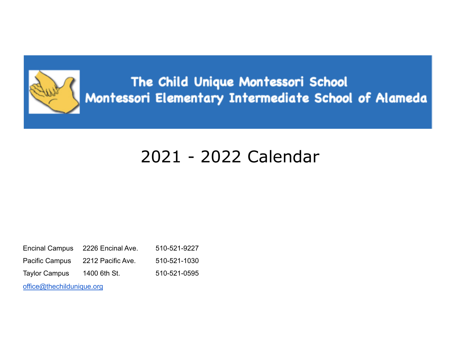

The Child Unique Montessori School Montessori Elementary Intermediate School of Alameda

## 2021 - 2022 Calendar

| <b>Encinal Campus</b>     | 2226 Encinal Ave. | 510-521-9227 |  |  |  |  |
|---------------------------|-------------------|--------------|--|--|--|--|
| <b>Pacific Campus</b>     | 2212 Pacific Ave. | 510-521-1030 |  |  |  |  |
| <b>Taylor Campus</b>      | 1400 6th St.      | 510-521-0595 |  |  |  |  |
| office@thechildunique.org |                   |              |  |  |  |  |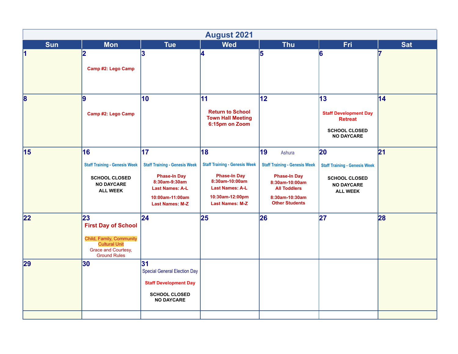|            |                                                                                                                                    |                                                                                                                                                           | <b>August 2021</b>                                                                                                                                         |                                                                                                                                                                 |                                                                                                            |            |
|------------|------------------------------------------------------------------------------------------------------------------------------------|-----------------------------------------------------------------------------------------------------------------------------------------------------------|------------------------------------------------------------------------------------------------------------------------------------------------------------|-----------------------------------------------------------------------------------------------------------------------------------------------------------------|------------------------------------------------------------------------------------------------------------|------------|
| <b>Sun</b> | <b>Mon</b>                                                                                                                         | <b>Tue</b>                                                                                                                                                | <b>Wed</b>                                                                                                                                                 | <b>Thu</b>                                                                                                                                                      | <b>Fri</b>                                                                                                 | <b>Sat</b> |
| 1          | 2<br>Camp #2: Lego Camp                                                                                                            | 3                                                                                                                                                         | 4                                                                                                                                                          | 5                                                                                                                                                               | 6                                                                                                          |            |
| 8          | 9<br>Camp #2: Lego Camp                                                                                                            | 10                                                                                                                                                        | 11<br><b>Return to School</b><br><b>Town Hall Meeting</b><br>6:15pm on Zoom                                                                                | 12                                                                                                                                                              | 13<br><b>Staff Development Day</b><br><b>Retreat</b><br><b>SCHOOL CLOSED</b><br><b>NO DAYCARE</b>          | 14         |
| 15         | 16<br><b>Staff Training - Genesis Week</b><br><b>SCHOOL CLOSED</b><br><b>NO DAYCARE</b><br><b>ALL WEEK</b>                         | 17<br><b>Staff Training - Genesis Week</b><br><b>Phase-In Day</b><br>8:30am-9:30am<br><b>Last Names: A-L</b><br>10:00am-11:00am<br><b>Last Names: M-Z</b> | 18<br><b>Staff Training - Genesis Week</b><br><b>Phase-In Day</b><br>8:30am-10:00am<br><b>Last Names: A-L</b><br>10:30am-12:00pm<br><b>Last Names: M-Z</b> | 19<br>Ashura<br><b>Staff Training - Genesis Week</b><br><b>Phase-In Day</b><br>8:30am-10:00am<br><b>All Toddlers</b><br>8:30am-10:30am<br><b>Other Students</b> | 20<br><b>Staff Training - Genesis Week</b><br><b>SCHOOL CLOSED</b><br><b>NO DAYCARE</b><br><b>ALL WEEK</b> | 21         |
| 22         | 23<br><b>First Day of School</b><br>Child, Family, Community<br><b>Cultural Unit</b><br>Grace and Courtesy,<br><b>Ground Rules</b> | $\overline{24}$                                                                                                                                           | 25                                                                                                                                                         | 26                                                                                                                                                              | 27                                                                                                         | 28         |
| 29         | 30                                                                                                                                 | 31<br><b>Special General Election Day</b><br><b>Staff Development Day</b><br><b>SCHOOL CLOSED</b><br><b>NO DAYCARE</b>                                    |                                                                                                                                                            |                                                                                                                                                                 |                                                                                                            |            |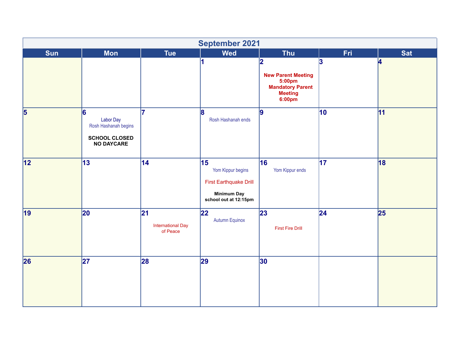|            |                                                                                     |                                            | <b>September 2021</b>                                                                                    |                                                                                                             |     |            |
|------------|-------------------------------------------------------------------------------------|--------------------------------------------|----------------------------------------------------------------------------------------------------------|-------------------------------------------------------------------------------------------------------------|-----|------------|
| <b>Sun</b> | <b>Mon</b>                                                                          | <b>Tue</b>                                 | <b>Wed</b>                                                                                               | <b>Thu</b>                                                                                                  | Fri | <b>Sat</b> |
|            |                                                                                     |                                            | 1                                                                                                        | 2<br><b>New Parent Meeting</b><br>5:00pm<br><b>Mandatory Parent</b><br><b>Meeting</b><br>6:00 <sub>pm</sub> | 3   | 4          |
| $\vert$ 5  | 6<br>Labor Day<br>Rosh Hashanah begins<br><b>SCHOOL CLOSED</b><br><b>NO DAYCARE</b> | 17                                         | $\mathbf{B}$<br>Rosh Hashanah ends                                                                       | 9                                                                                                           | 10  | 11         |
| 12         | 13                                                                                  | 14                                         | 15 <br>Yom Kippur begins<br><b>First Earthquake Drill</b><br><b>Minimum Day</b><br>school out at 12:15pm | 16<br>Yom Kippur ends                                                                                       | 17  | 18         |
| 19         | 20                                                                                  | 21<br><b>International Day</b><br>of Peace | 22 <br><b>Autumn Equinox</b>                                                                             | 23 <br><b>First Fire Drill</b>                                                                              | 24  | 25         |
| 26         | 27                                                                                  | 28                                         | 29                                                                                                       | $ 30\rangle$                                                                                                |     |            |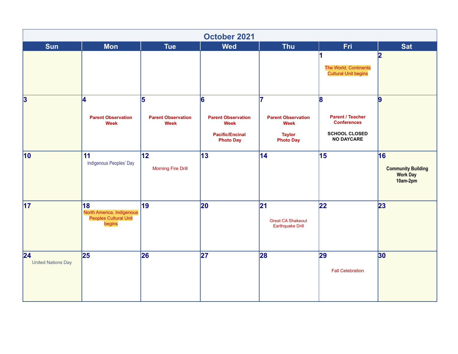|                                  |                                                                    |                                                            | October 2021                                                                                |                                                                                     |                                                                                                 |                                                                |
|----------------------------------|--------------------------------------------------------------------|------------------------------------------------------------|---------------------------------------------------------------------------------------------|-------------------------------------------------------------------------------------|-------------------------------------------------------------------------------------------------|----------------------------------------------------------------|
| <b>Sun</b>                       | <b>Mon</b>                                                         | <b>Tue</b>                                                 | <b>Wed</b>                                                                                  | <b>Thu</b>                                                                          | Fri                                                                                             | <b>Sat</b>                                                     |
|                                  |                                                                    |                                                            |                                                                                             |                                                                                     | The World, Continents<br><b>Cultural Unit begins</b>                                            | $\overline{2}$                                                 |
| $\overline{\mathbf{3}}$          | 4<br><b>Parent Observation</b><br><b>Week</b>                      | $\overline{5}$<br><b>Parent Observation</b><br><b>Week</b> | 6<br><b>Parent Observation</b><br><b>Week</b><br><b>Pacific/Encinal</b><br><b>Photo Day</b> | 17<br><b>Parent Observation</b><br><b>Week</b><br><b>Taylor</b><br><b>Photo Day</b> | 8<br><b>Parent / Teacher</b><br><b>Conferences</b><br><b>SCHOOL CLOSED</b><br><b>NO DAYCARE</b> | $\overline{9}$                                                 |
| $ 10\rangle$                     | 11<br>Indigenous Peoples' Day                                      | 12 <br><b>Morning Fire Drill</b>                           | $ 13\rangle$                                                                                | 14                                                                                  | 15                                                                                              | 16<br><b>Community Building</b><br><b>Work Day</b><br>10am-2pm |
| $\vert$ 17                       | 18<br>North America, Indigenous<br>Peoples Cultural Unit<br>begins | 19                                                         | $ 20\rangle$                                                                                | 21 <br><b>Great CA Shakeout</b><br><b>Earthquake Drill</b>                          | 22                                                                                              | 23                                                             |
| 24 <br><b>United Nations Day</b> | 25                                                                 | 26                                                         | 27                                                                                          | 28                                                                                  | 29<br><b>Fall Celebration</b>                                                                   | 30 <sub>o</sub>                                                |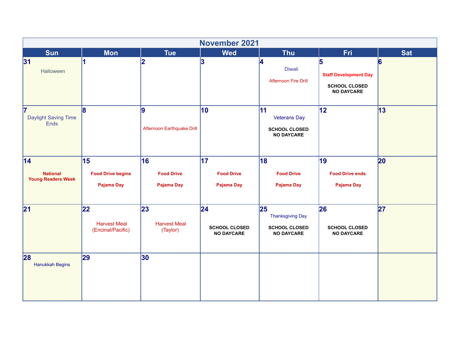|                                                     |                                                |                                         | <b>November 2021</b>                             |                                                                            |                                                                                |            |
|-----------------------------------------------------|------------------------------------------------|-----------------------------------------|--------------------------------------------------|----------------------------------------------------------------------------|--------------------------------------------------------------------------------|------------|
| <b>Sun</b>                                          | <b>Mon</b>                                     | <b>Tue</b>                              | <b>Wed</b>                                       | <b>Thu</b>                                                                 | <b>Fri</b>                                                                     | <b>Sat</b> |
| 31 <br>Halloween                                    |                                                | $\vert$ 2                               | 3                                                | 4<br><b>Diwali</b><br><b>Afternoon Fire Drill</b>                          | 5<br><b>Staff Development Day</b><br><b>SCHOOL CLOSED</b><br><b>NO DAYCARE</b> | 6          |
| 17<br>Daylight Saving Time<br>Ends                  | $\mathbf{B}$                                   | $\vert$ 9<br>Afternoon Earthquake Drill | $\vert$ 10                                       | 11<br><b>Veterans Day</b><br><b>SCHOOL CLOSED</b><br><b>NO DAYCARE</b>     | 12                                                                             | 13         |
| 14 <br><b>National</b><br><b>Young Readers Week</b> | 15<br><b>Food Drive begins</b><br>Pajama Day   | 16<br><b>Food Drive</b><br>Pajama Day   | 17 <br><b>Food Drive</b><br>Pajama Day           | 18<br><b>Food Drive</b><br>Pajama Day                                      | 19<br><b>Food Drive ends</b><br>Pajama Day                                     | 20         |
| 21                                                  | 22<br><b>Harvest Meal</b><br>(Encinal/Pacific) | 23 <br><b>Harvest Meal</b><br>(Taylor)  | 24 <br><b>SCHOOL CLOSED</b><br><b>NO DAYCARE</b> | 25<br><b>Thanksgiving Day</b><br><b>SCHOOL CLOSED</b><br><b>NO DAYCARE</b> | 26<br><b>SCHOOL CLOSED</b><br><b>NO DAYCARE</b>                                | 27         |
| 28<br>Hanukkah Begins                               | 29                                             | $ 30\rangle$                            |                                                  |                                                                            |                                                                                |            |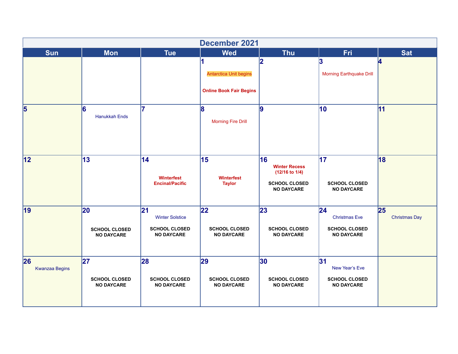|                             |                                                 |                                                                           | <b>December 2021</b>                                                  |                                                                                               |                                                                          |                            |
|-----------------------------|-------------------------------------------------|---------------------------------------------------------------------------|-----------------------------------------------------------------------|-----------------------------------------------------------------------------------------------|--------------------------------------------------------------------------|----------------------------|
| <b>Sun</b>                  | <b>Mon</b>                                      | <b>Tue</b>                                                                | <b>Wed</b>                                                            | <b>Thu</b>                                                                                    | Fri                                                                      | <b>Sat</b>                 |
|                             |                                                 |                                                                           | 11<br><b>Antarctica Unit begins</b><br><b>Online Book Fair Begins</b> | 2                                                                                             | 3<br><b>Morning Earthquake Drill</b>                                     | 4                          |
| $\vert$ 5                   | 6<br>Hanukkah Ends                              | 17                                                                        | 8<br><b>Morning Fire Drill</b>                                        | 9                                                                                             | 10 <sub>o</sub>                                                          | 11                         |
| 12                          | 13                                              | 14 <br>Winterfest<br><b>Encinal/Pacific</b>                               | 15<br>Winterfest<br><b>Taylor</b>                                     | 16<br><b>Winter Recess</b><br>$(12/16$ to $1/4)$<br><b>SCHOOL CLOSED</b><br><b>NO DAYCARE</b> | 17 <br><b>SCHOOL CLOSED</b><br><b>NO DAYCARE</b>                         | 18                         |
| 19                          | 20<br><b>SCHOOL CLOSED</b><br><b>NO DAYCARE</b> | 21<br><b>Winter Solstice</b><br><b>SCHOOL CLOSED</b><br><b>NO DAYCARE</b> | 22<br><b>SCHOOL CLOSED</b><br><b>NO DAYCARE</b>                       | 23<br><b>SCHOOL CLOSED</b><br><b>NO DAYCARE</b>                                               | 24 <br><b>Christmas Eve</b><br><b>SCHOOL CLOSED</b><br><b>NO DAYCARE</b> | 25<br><b>Christmas Day</b> |
| 26<br><b>Kwanzaa Begins</b> | 27<br><b>SCHOOL CLOSED</b><br><b>NO DAYCARE</b> | 28<br><b>SCHOOL CLOSED</b><br><b>NO DAYCARE</b>                           | 29 <br><b>SCHOOL CLOSED</b><br><b>NO DAYCARE</b>                      | 30 <br><b>SCHOOL CLOSED</b><br><b>NO DAYCARE</b>                                              | 31 <br>New Year's Eve<br><b>SCHOOL CLOSED</b><br><b>NO DAYCARE</b>       |                            |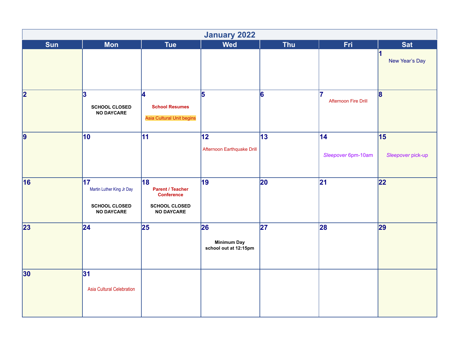|                         |                                                                                           |                                                                                                 | <b>January 2022</b>                               |              |                                  |                                           |
|-------------------------|-------------------------------------------------------------------------------------------|-------------------------------------------------------------------------------------------------|---------------------------------------------------|--------------|----------------------------------|-------------------------------------------|
| <b>Sun</b>              | <b>Mon</b>                                                                                | <b>Tue</b>                                                                                      | <b>Wed</b>                                        | <b>Thu</b>   | <b>Fri</b>                       | <b>Sat</b>                                |
|                         |                                                                                           |                                                                                                 |                                                   |              |                                  | $\overline{\mathbf{1}}$<br>New Year's Day |
| $\overline{\mathbf{2}}$ | 3<br><b>SCHOOL CLOSED</b><br><b>NO DAYCARE</b>                                            | $\vert$ 4<br><b>School Resumes</b><br>Asia Cultural Unit begins                                 | 5                                                 | 6            | 7<br><b>Afternoon Fire Drill</b> | 8                                         |
| $\overline{9}$          | 10                                                                                        | 11                                                                                              | $ 12\rangle$<br>Afternoon Earthquake Drill        | $ 13\rangle$ | 14<br>Sleepover 6pm-10am         | 15<br>Sleepover pick-up                   |
| 16                      | $\overline{17}$<br>Martin Luther King Jr Day<br><b>SCHOOL CLOSED</b><br><b>NO DAYCARE</b> | 18<br><b>Parent / Teacher</b><br><b>Conference</b><br><b>SCHOOL CLOSED</b><br><b>NO DAYCARE</b> | 19                                                | $ 20\rangle$ | 21                               | 22                                        |
| 23                      | 24                                                                                        | 25                                                                                              | 26<br><b>Minimum Day</b><br>school out at 12:15pm | 27           | 28                               | 29                                        |
| 30                      | 31 <br>Asia Cultural Celebration                                                          |                                                                                                 |                                                   |              |                                  |                                           |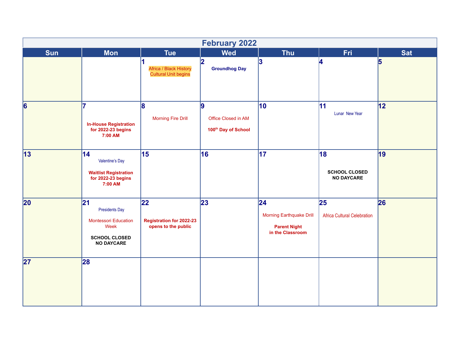|                 |                                                                                                                 |                                                              | <b>February 2022</b>                             |                                                                                   |                                                 |            |
|-----------------|-----------------------------------------------------------------------------------------------------------------|--------------------------------------------------------------|--------------------------------------------------|-----------------------------------------------------------------------------------|-------------------------------------------------|------------|
| <b>Sun</b>      | <b>Mon</b>                                                                                                      | <b>Tue</b>                                                   | <b>Wed</b>                                       | <b>Thu</b>                                                                        | <b>Fri</b>                                      | <b>Sat</b> |
|                 |                                                                                                                 | Africa / Black History<br><b>Cultural Unit begins</b>        | 2 <br><b>Groundhog Day</b>                       | 3                                                                                 | 4                                               | 5          |
| $\vert 6 \vert$ | 7<br><b>In-House Registration</b><br>for $2022-23$ begins<br>7:00 AM                                            | 8<br><b>Morning Fire Drill</b>                               | 9 <br>Office Closed in AM<br>100th Day of School | 10                                                                                | 11<br>Lunar New Year                            | 12         |
| 13              | 14 <br>Valentine's Day<br><b>Waitlist Registration</b><br>for $2022-23$ begins<br>7:00 AM                       | 15                                                           | 16                                               | 17                                                                                | 18<br><b>SCHOOL CLOSED</b><br><b>NO DAYCARE</b> | 19         |
| 20              | 21<br><b>Presidents Day</b><br><b>Montessori Education</b><br>Week<br><b>SCHOOL CLOSED</b><br><b>NO DAYCARE</b> | 22<br><b>Registration for 2022-23</b><br>opens to the public | 23                                               | 24 <br><b>Morning Earthquake Drill</b><br><b>Parent Night</b><br>in the Classroom | 25<br><b>Africa Cultural Celebration</b>        | 26         |
| 27              | 28                                                                                                              |                                                              |                                                  |                                                                                   |                                                 |            |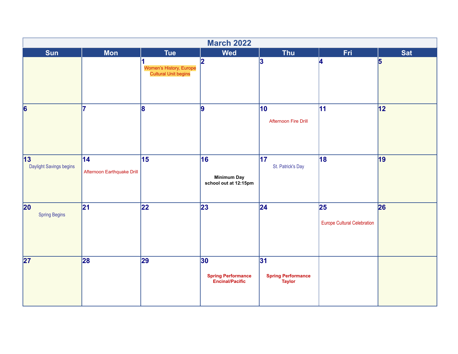|                                      |                                   |                                                 | <b>March 2022</b>                                          |                                                   |                                          |                |
|--------------------------------------|-----------------------------------|-------------------------------------------------|------------------------------------------------------------|---------------------------------------------------|------------------------------------------|----------------|
| <b>Sun</b>                           | <b>Mon</b>                        | <b>Tue</b>                                      | <b>Wed</b>                                                 | <b>Thu</b>                                        | Fri.                                     | <b>Sat</b>     |
|                                      |                                   | Women's History, Europe<br>Cultural Unit begins | $\overline{2}$                                             | 3                                                 | 4                                        | $\overline{5}$ |
| $\vert 6 \vert$                      | 17                                | 8                                               | 9                                                          | 10<br>Afternoon Fire Drill                        | $ 11\rangle$                             | 12             |
| 13 <br>Daylight Savings begins       | 14 <br>Afternoon Earthquake Drill | 15                                              | 16<br><b>Minimum Day</b><br>school out at 12:15pm          | 17 <br>St. Patrick's Day                          | 18                                       | 19             |
| $ 20\rangle$<br><b>Spring Begins</b> | 21                                | 22                                              | 23                                                         | 24                                                | 25<br><b>Europe Cultural Celebration</b> | 26             |
| 27                                   | 28                                | 29                                              | 30 <br><b>Spring Performance</b><br><b>Encinal/Pacific</b> | 31 <br><b>Spring Performance</b><br><b>Taylor</b> |                                          |                |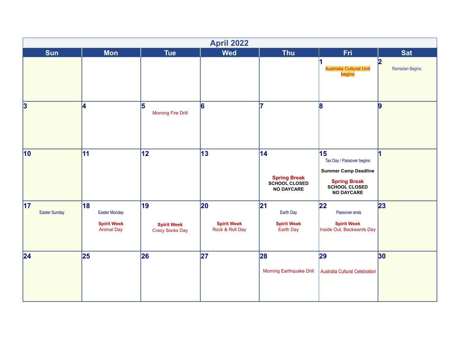|                                    |                                                                       |                                             | <b>April 2022</b>                                     |                                                                  |                                                                                                                             |                                           |
|------------------------------------|-----------------------------------------------------------------------|---------------------------------------------|-------------------------------------------------------|------------------------------------------------------------------|-----------------------------------------------------------------------------------------------------------------------------|-------------------------------------------|
| <b>Sun</b>                         | <b>Mon</b>                                                            | <b>Tue</b>                                  | <b>Wed</b>                                            | <b>Thu</b>                                                       | <b>Fri</b>                                                                                                                  | <b>Sat</b>                                |
|                                    |                                                                       |                                             |                                                       |                                                                  | <b>Australia Cultural Unit</b><br>begins                                                                                    | $\overline{\mathbf{2}}$<br>Ramadan Begins |
| $\overline{\mathbf{3}}$            | 4                                                                     | 5<br><b>Morning Fire Drill</b>              | $\vert 6 \vert$                                       | 7                                                                | 8                                                                                                                           | $\vert 9$                                 |
| $ 10\rangle$                       | 11                                                                    | 12                                          | 13                                                    | 14 <br><b>Spring Break</b><br>SCHOOL CLOSED<br><b>NO DAYCARE</b> | 15<br>Tax Day / Passover begins<br><b>Summer Camp Deadline</b><br><b>Spring Break</b><br>SCHOOL CLOSED<br><b>NO DAYCARE</b> |                                           |
| $\vert$ 17<br><b>Easter Sunday</b> | 18<br><b>Easter Monday</b><br><b>Spirit Week</b><br><b>Animal Day</b> | 19<br><b>Spirit Week</b><br>Crazy Socks Day | $ 20\rangle$<br><b>Spirit Week</b><br>Rock & Roll Day | 21 <br>Earth Day<br><b>Spirit Week</b><br>Earth Day              | 22 <br>Passover ends<br><b>Spirit Week</b><br>Inside Out, Backwards Day                                                     | 23                                        |
| 24                                 | 25                                                                    | 26                                          | 27                                                    | 28<br><b>Morning Earthquake Drill</b>                            | 29<br>Australia Cultural Celebration                                                                                        | 30 <sub>o</sub>                           |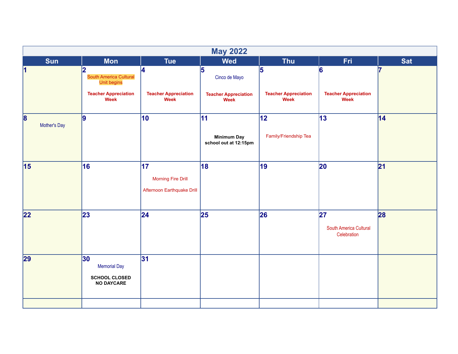|                                 |                                                                                                 |                                                                | <b>May 2022</b>                                           |                                          |                                             |            |
|---------------------------------|-------------------------------------------------------------------------------------------------|----------------------------------------------------------------|-----------------------------------------------------------|------------------------------------------|---------------------------------------------|------------|
| <b>Sun</b>                      | <b>Mon</b>                                                                                      | <b>Tue</b>                                                     | <b>Wed</b>                                                | <b>Thu</b>                               | <b>Fri</b>                                  | <b>Sat</b> |
| $\vert$ 1                       | 2<br>South America Cultural<br><b>Unit begins</b><br><b>Teacher Appreciation</b><br><b>Week</b> | Ι4<br><b>Teacher Appreciation</b><br><b>Week</b>               | 5<br>Cinco de Mayo<br><b>Teacher Appreciation</b><br>Week | 5<br><b>Teacher Appreciation</b><br>Week | 6<br><b>Teacher Appreciation</b><br>Week    | 6          |
| $\vert 8 \vert$<br>Mother's Day | 9                                                                                               | 10                                                             | 11<br><b>Minimum Day</b><br>school out at 12:15pm         | 12 <br>Family/Friendship Tea             | 13                                          | 14         |
| 15                              | 16                                                                                              | 17 <br><b>Morning Fire Drill</b><br>Afternoon Earthquake Drill | 18                                                        | 19                                       | 20                                          | 21         |
| 22                              | 23                                                                                              | 24                                                             | 25                                                        | 26                                       | 27<br>South America Cultural<br>Celebration | 28         |
| 29                              | 30<br><b>Memorial Day</b><br><b>SCHOOL CLOSED</b><br><b>NO DAYCARE</b>                          | 31                                                             |                                                           |                                          |                                             |            |